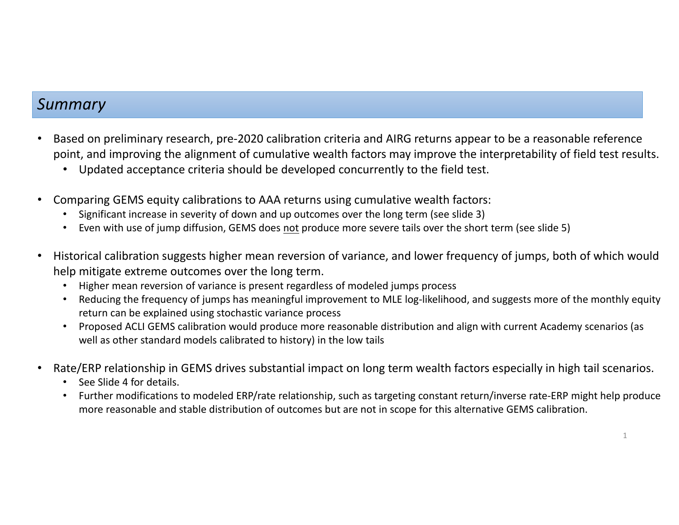## *Summary*

- • Based on preliminary research, pre‐2020 calibration criteria and AIRG returns appear to be <sup>a</sup> reasonable reference point, and improving the alignment of cumulative wealth factors may improve the interpretability of field test results.
	- Updated acceptance criteria should be developed concurrently to the field test.
- • Comparing GEMS equity calibrations to AAA returns using cumulative wealth factors:
	- Significant increase in severity of down and up outcomes over the long term (see slide 3)
	- Even with use of jump diffusion, GEMS does <u>not</u> produce more severe tails over the short term (see slide 5)
- • Historical calibration suggests higher mean reversion of variance, and lower frequency of jumps, both of which would help mitigate extreme outcomes over the long term.
	- •Higher mean reversion of variance is present regardless of modeled jumps process
	- •Reducing the frequency of jumps has meaningful improvement to MLE log-likelihood, and suggests more of the monthly equity return can be explained using stochastic variance process
	- Proposed ACLI GEMS calibration would produce more reasonable distribution and align with current Academy scenarios (as well as other standard models calibrated to history) in the low tails
- • Rate/ERP relationship in GEMS drives substantial impact on long term wealth factors especially in high tail scenarios.
	- See Slide 4 for details.
	- Further modifications to modeled ERP/rate relationship, such as targeting constant return/inverse rate‐ERP might help produce more reasonable and stable distribution of outcomes but are not in scope for this alternative GEMS calibration.

1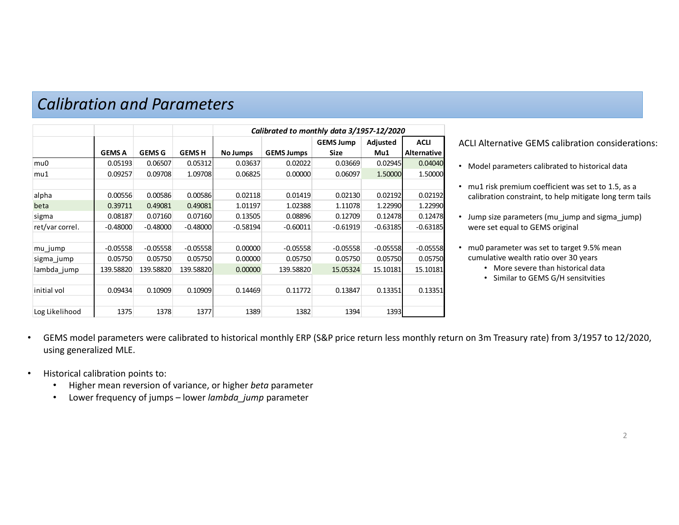|                 |               |               | Calibrated to monthly data 3/1957-12/2020 |                 |                   |                  |            |             |
|-----------------|---------------|---------------|-------------------------------------------|-----------------|-------------------|------------------|------------|-------------|
|                 |               |               |                                           |                 |                   | <b>GEMS Jump</b> | Adjusted   | <b>ACLI</b> |
|                 | <b>GEMS A</b> | <b>GEMS G</b> | <b>GEMSH</b>                              | <b>No Jumps</b> | <b>GEMS Jumps</b> | Size             | Mu1        | Alternative |
| mu0             | 0.05193       | 0.06507       | 0.05312                                   | 0.03637         | 0.02022           | 0.03669          | 0.02945    | 0.04040     |
| mu1             | 0.09257       | 0.09708       | 1.09708                                   | 0.06825         | 0.00000           | 0.06097          | 1.50000    | 1.50000     |
|                 |               |               |                                           |                 |                   |                  |            |             |
| alpha           | 0.00556       | 0.00586       | 0.00586                                   | 0.02118         | 0.01419           | 0.02130          | 0.02192    | 0.02192     |
| beta            | 0.39711       | 0.49081       | 0.49081                                   | 1.01197         | 1.02388           | 1.11078          | 1.22990    | 1.22990     |
| sigma           | 0.08187       | 0.07160       | 0.07160                                   | 0.13505         | 0.08896           | 0.12709          | 0.12478    | 0.12478     |
| ret/var correl. | $-0.48000$    | $-0.48000$    | $-0.48000$                                | $-0.58194$      | $-0.60011$        | $-0.61919$       | $-0.63185$ | $-0.63185$  |
|                 |               |               |                                           |                 |                   |                  |            |             |
| mu jump         | $-0.05558$    | $-0.05558$    | $-0.05558$                                | 0.00000         | $-0.05558$        | $-0.05558$       | $-0.05558$ | $-0.05558$  |
| sigma jump      | 0.05750       | 0.05750       | 0.05750                                   | 0.00000         | 0.05750           | 0.05750          | 0.05750    | 0.05750     |
| lambda_jump     | 139.58820     | 139.58820     | 139.58820                                 | 0.00000         | 139.58820         | 15.05324         | 15.10181   | 15.10181    |
|                 |               |               |                                           |                 |                   |                  |            |             |
| initial vol     | 0.09434       | 0.10909       | 0.10909                                   | 0.14469         | 0.11772           | 0.13847          | 0.13351    | 0.13351     |
|                 |               |               |                                           |                 |                   |                  |            |             |
| Log Likelihood  | 1375          | 1378          | 1377                                      | 1389            | 1382              | 1394             | 1393       |             |

### *Calibration and Parameters*

ACLI Alternative GEMS calibration considerations:

- Model parameters calibrated to historical data
- mu1 risk premium coefficient was set to 1.5, as <sup>a</sup> calibration constraint, to help mitigate long term tails
- Jump size parameters (mu\_jump and sigma\_jump) were set equal to GEMS original
- mu0 parameter was set to target 9.5% mean cumulative wealth ratio over 30 years
	- More severe than historical data
	- Similar to GEMS G/H sensitvities
- • GEMS model parameters were calibrated to historical monthly ERP (S&P price return less monthly return on 3m Treasury rate) from 3/1957 to 12/2020, using generalized MLE.
- •• Historical calibration points to:
	- •Higher mean reversion of variance, or higher *beta* parameter
	- •Lower frequency of jumps – lower *lambda\_jump* parameter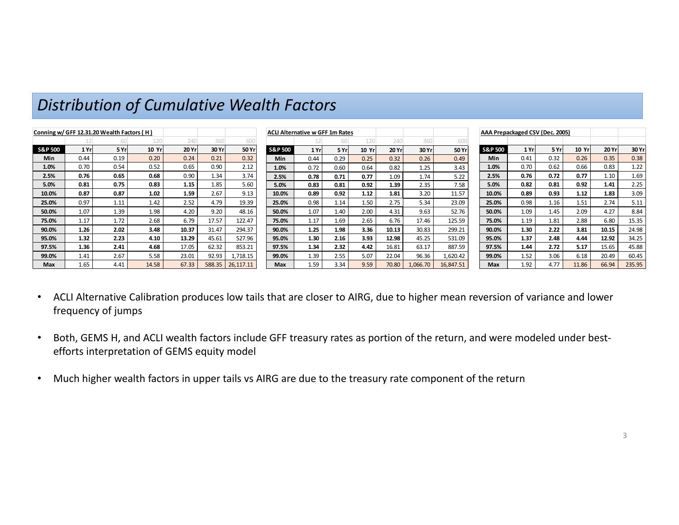| Conning w/ GFF 12.31.20 Wealth Factors (H) |       |       |       |       |        |           | <b>ACLI Alternative w GFF 1m Rates</b> |      |       |       |       |          |           | AAA Prepackaged CSV (Dec. 2005) |       |      |       |       |        |
|--------------------------------------------|-------|-------|-------|-------|--------|-----------|----------------------------------------|------|-------|-------|-------|----------|-----------|---------------------------------|-------|------|-------|-------|--------|
|                                            |       |       |       | 240   | 360    | 600       |                                        |      |       |       | 240   | 360      | 600       |                                 |       |      |       |       |        |
| <b>S&amp;P 500</b>                         | 1 Yrl | 5 Yrl | 10 Yr | 20 Yr | 30 Yr  | 50 Yr     | <b>S&amp;P 500</b>                     | 1 Yr | 5 Yrl | 10 Yr | 20 Yr | 30 Yr    | 50 Yr     | <b>S&amp;P 500</b>              | 1 Yrl | 5 Yr | 10 Yr | 20 Yr | 30 Yr  |
| Min                                        | 0.44  | 0.19  | 0.20  | 0.24  | 0.21   | 0.32      | <b>Min</b>                             | 0.44 | 0.29  | 0.25  | 0.32  | 0.26     | 0.49      | Min                             | 0.41  | 0.32 | 0.26  | 0.35  | 0.38   |
| 1.0%                                       | 0.70  | 0.54  | 0.52  | 0.65  | 0.90   | 2.12      | 1.0%                                   | 0.72 | 0.60  | 0.64  | 0.82  | 1.25     | 3.43      | 1.0%                            | 0.70  | 0.62 | 0.66  | 0.83  | 1.22   |
| 2.5%                                       | 0.76  | 0.65  | 0.68  | 0.90  | 1.34   | 3.74      | 2.5%                                   | 0.78 | 0.71  | 0.77  | 1.09  | 1.74     | 5.22      | 2.5%                            | 0.76  | 0.72 | 0.77  | 1.10  | 1.69   |
| 5.0%                                       | 0.81  | 0.75  | 0.83  | 1.15  | 1.85   | 5.60      | 5.0%                                   | 0.83 | 0.81  | 0.92  | 1.39  | 2.35     | 7.58      | 5.0%                            | 0.82  | 0.81 | 0.92  | 1.41  | 2.25   |
| 10.0%                                      | 0.87  | 0.87  | 1.02  | 1.59  | 2.67   | 9.13      | 10.0%                                  | 0.89 | 0.92  | 1.12  | 1.81  | 3.20     | 11.57     | 10.0%                           | 0.89  | 0.93 | 1.12  | 1.83  | 3.09   |
| 25.0%                                      | 0.97  | 1.11  | 1.42  | 2.52  | 4.79   | 19.39     | 25.0%                                  | 0.98 | 1.14  | 1.50  | 2.75  | 5.34     | 23.09     | 25.0%                           | 0.98  | 1.16 | 1.51  | 2.74  | 5.11   |
| 50.0%                                      | 1.07  | 1.39  | 1.98  | 4.20  | 9.20   | 48.16     | 50.0%                                  | 1.07 | 1.40  | 2.00  | 4.31  | 9.63     | 52.76     | 50.0%                           | 1.09  | 1.45 | 2.09  | 4.27  | 8.84   |
| 75.0%                                      | 1.17  | 1.72  | 2.68  | 6.79  | 17.57  | 122.47    | 75.0%                                  | 1.17 | 1.69  | 2.65  | 6.76  | 17.46    | 125.59    | 75.0%                           | 1.19  | 1.81 | 2.88  | 6.80  | 15.35  |
| 90.0%                                      | 1.26  | 2.02  | 3.48  | 10.37 | 31.47  | 294.37    | 90.0%                                  | 1.25 | 1.98  | 3.36  | 10.13 | 30.83    | 299.21    | 90.0%                           | 1.30  | 2.22 | 3.81  | 10.15 | 24.98  |
| 95.0%                                      | 1.32  | 2.23  | 4.10  | 13.29 | 45.61  | 527.96    | 95.0%                                  | 1.30 | 2.16  | 3.93  | 12.98 | 45.25    | 531.09    | 95.0%                           | 1.37  | 2.48 | 4.44  | 12.92 | 34.25  |
| 97.5%                                      | 1.36  | 2.41  | 4.68  | 17.05 | 62.32  | 853.21    | 97.5%                                  | 1.34 | 2.32  | 4.42  | 16.81 | 63.17    | 887.59    | 97.5%                           | 1.44  | 2.72 | 5.17  | 15.65 | 45.88  |
| 99.0%                                      | 1.41  | 2.67  | 5.58  | 23.01 | 92.93  | 1,718.15  | 99.0%                                  | 1.39 | 2.55  | 5.07  | 22.04 | 96.36    | .,620.42  | 99.0%                           | 1.52  | 3.06 | 6.18  | 20.49 | 60.45  |
| Max                                        | 1.65  | 4.41  | 14.58 | 67.33 | 588.35 | 26.117.11 | Max                                    | 1.59 | 3.34  | 9.59  | 70.80 | L.066.70 | 16,847.51 | Max                             | 1.92  | 4.77 | 11.86 | 66.94 | 235.95 |

# *Distribution of Cumulative Wealth Factors*

- • ACLI Alternative Calibration produces low tails that are closer to AIRG, due to higher mean reversion of variance and lower frequency of jumps
- •Both, GEMS H, and ACLI wealth factors include GFF treasury rates as portion of the return, and were modeled under bestefforts interpretation of GEMS equity model
- •Much higher wealth factors in upper tails vs AIRG are due to the treasury rate component of the return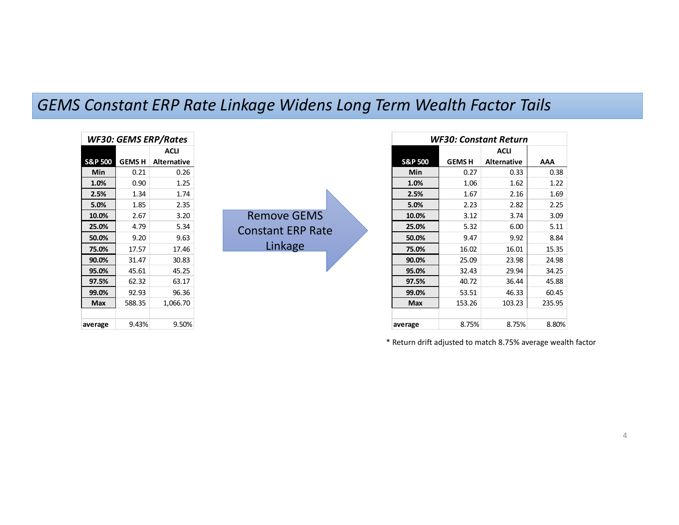### *GEMS Constant ERP Rate Linkage Widens Long Term Wealth Factor Tails*

| WF30: GEMS ERP/Rates |              |                    |  |  |  |  |  |  |  |
|----------------------|--------------|--------------------|--|--|--|--|--|--|--|
|                      |              | ACLI               |  |  |  |  |  |  |  |
| <b>S&amp;P 500</b>   | <b>GEMSH</b> | <b>Alternative</b> |  |  |  |  |  |  |  |
| Min                  | 0.21         | 0.26               |  |  |  |  |  |  |  |
| 1.0%                 | 0.90         | 1.25               |  |  |  |  |  |  |  |
| 2.5%                 | 1.34         | 1.74               |  |  |  |  |  |  |  |
| 5.0%                 | 1.85         | 2.35               |  |  |  |  |  |  |  |
| 10.0%                | 2.67         | 3.20               |  |  |  |  |  |  |  |
| 25.0%                | 4.79         | 5.34               |  |  |  |  |  |  |  |
| 50.0%                | 9.20         | 9.63               |  |  |  |  |  |  |  |
| 75.0%                | 17.57        | 17.46              |  |  |  |  |  |  |  |
| 90.0%                | 31.47        | 30.83              |  |  |  |  |  |  |  |
| 95.0%                | 45.61        | 45.25              |  |  |  |  |  |  |  |
| 97.5%                | 62.32        | 63.17              |  |  |  |  |  |  |  |
| 99.0%                | 92.93        | 96.36              |  |  |  |  |  |  |  |
| Max                  | 588.35       | 1,066.70           |  |  |  |  |  |  |  |
|                      |              |                    |  |  |  |  |  |  |  |
| average              | 9.43%        | 9.50%              |  |  |  |  |  |  |  |

Remove GEMS Constant ERP Rate Linkage

| WF30: Constant Return |               |             |        |  |  |  |  |  |  |
|-----------------------|---------------|-------------|--------|--|--|--|--|--|--|
|                       |               | ACLI        |        |  |  |  |  |  |  |
| <b>S&amp;P 500</b>    | <b>GEMS H</b> | Alternative | ΑΑΑ    |  |  |  |  |  |  |
| Min                   | 0.27          | 0.33        | 0.38   |  |  |  |  |  |  |
| 1.0%                  | 1.06          | 1.62        | 1.22   |  |  |  |  |  |  |
| 2.5%                  | 1.67          | 2.16        | 1.69   |  |  |  |  |  |  |
| 5.0%                  | 2.23          | 2.82        | 2.25   |  |  |  |  |  |  |
| 10.0%                 | 3.12          | 3.74        | 3.09   |  |  |  |  |  |  |
| 25.0%                 | 5.32          | 6.00        | 5.11   |  |  |  |  |  |  |
| 50.0%                 | 9.47          | 9.92        | 8.84   |  |  |  |  |  |  |
| 75.0%                 | 16.02         | 16.01       | 15.35  |  |  |  |  |  |  |
| 90.0%                 | 25.09         | 23.98       | 24.98  |  |  |  |  |  |  |
| 95.0%                 | 32.43         | 29.94       | 34.25  |  |  |  |  |  |  |
| 97.5%                 | 40.72         | 36.44       | 45.88  |  |  |  |  |  |  |
| 99.0%                 | 53.51         | 46.33       | 60.45  |  |  |  |  |  |  |
| Max                   | 153.26        | 103.23      | 235.95 |  |  |  |  |  |  |
|                       |               |             |        |  |  |  |  |  |  |
| average               | 8.75%         | 8.75%       | 8.80%  |  |  |  |  |  |  |

\* Return drift adjusted to match 8.75% average wealth factor